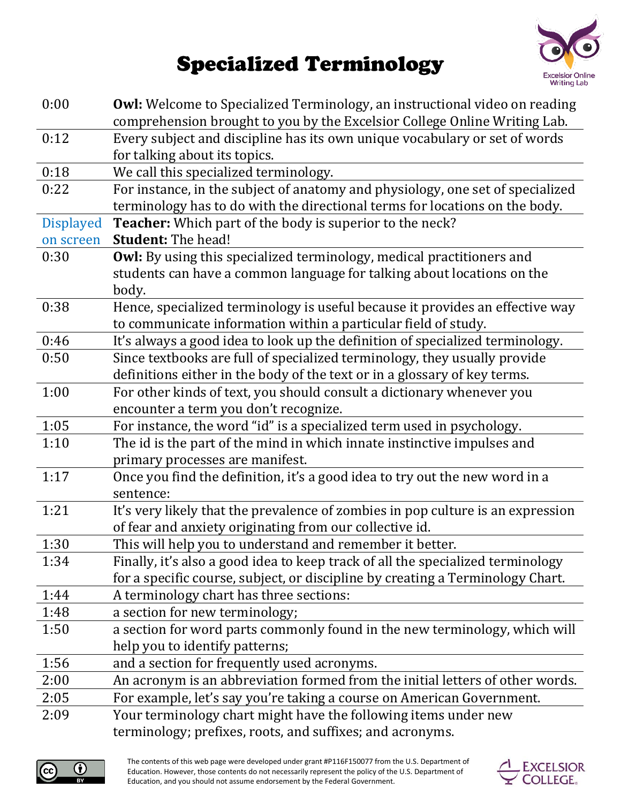## **Excelsior Online Writing Lab**

## **Specialized Terminology**

| 0:00             | Owl: Welcome to Specialized Terminology, an instructional video on reading<br>comprehension brought to you by the Excelsior College Online Writing Lab. |  |  |
|------------------|---------------------------------------------------------------------------------------------------------------------------------------------------------|--|--|
| 0:12             | Every subject and discipline has its own unique vocabulary or set of words                                                                              |  |  |
|                  | for talking about its topics.                                                                                                                           |  |  |
| 0:18             | We call this specialized terminology.                                                                                                                   |  |  |
| 0:22             | For instance, in the subject of anatomy and physiology, one set of specialized                                                                          |  |  |
|                  | terminology has to do with the directional terms for locations on the body.                                                                             |  |  |
| <b>Displayed</b> | <b>Teacher:</b> Which part of the body is superior to the neck?                                                                                         |  |  |
| on screen        | <b>Student: The head!</b>                                                                                                                               |  |  |
| 0:30             | <b>Owl:</b> By using this specialized terminology, medical practitioners and                                                                            |  |  |
|                  | students can have a common language for talking about locations on the                                                                                  |  |  |
|                  | body.                                                                                                                                                   |  |  |
| 0:38             | Hence, specialized terminology is useful because it provides an effective way                                                                           |  |  |
|                  | to communicate information within a particular field of study.                                                                                          |  |  |
| 0:46             | It's always a good idea to look up the definition of specialized terminology.                                                                           |  |  |
| 0:50             | Since textbooks are full of specialized terminology, they usually provide                                                                               |  |  |
|                  | definitions either in the body of the text or in a glossary of key terms.                                                                               |  |  |
| 1:00             | For other kinds of text, you should consult a dictionary whenever you                                                                                   |  |  |
|                  | encounter a term you don't recognize.                                                                                                                   |  |  |
| 1:05             | For instance, the word "id" is a specialized term used in psychology.                                                                                   |  |  |
| 1:10             | The id is the part of the mind in which innate instinctive impulses and                                                                                 |  |  |
|                  | primary processes are manifest.                                                                                                                         |  |  |
| 1:17             | Once you find the definition, it's a good idea to try out the new word in a                                                                             |  |  |
|                  | sentence:                                                                                                                                               |  |  |
| 1:21             | It's very likely that the prevalence of zombies in pop culture is an expression                                                                         |  |  |
|                  | of fear and anxiety originating from our collective id.                                                                                                 |  |  |
| 1:30             | This will help you to understand and remember it better.                                                                                                |  |  |
| 1:34             | Finally, it's also a good idea to keep track of all the specialized terminology                                                                         |  |  |
|                  | for a specific course, subject, or discipline by creating a Terminology Chart.                                                                          |  |  |
| 1:44             | A terminology chart has three sections:                                                                                                                 |  |  |
| 1:48             | a section for new terminology;                                                                                                                          |  |  |
| 1:50             | a section for word parts commonly found in the new terminology, which will                                                                              |  |  |
|                  | help you to identify patterns;                                                                                                                          |  |  |
| 1:56             | and a section for frequently used acronyms.                                                                                                             |  |  |
| 2:00             | An acronym is an abbreviation formed from the initial letters of other words.                                                                           |  |  |
| 2:05             | For example, let's say you're taking a course on American Government.                                                                                   |  |  |
| 2:09             | Your terminology chart might have the following items under new                                                                                         |  |  |
|                  | terminology; prefixes, roots, and suffixes; and acronyms.                                                                                               |  |  |